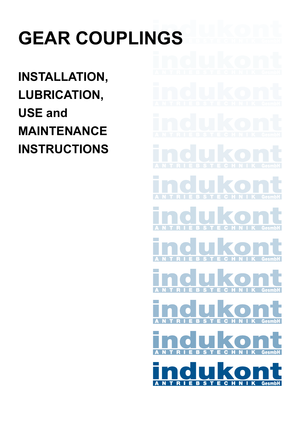# **GEAR COUPLINGS**

**INSTALLATION, LUBRICATION, USE and MAINTENANCE INSTRUCTIONS**

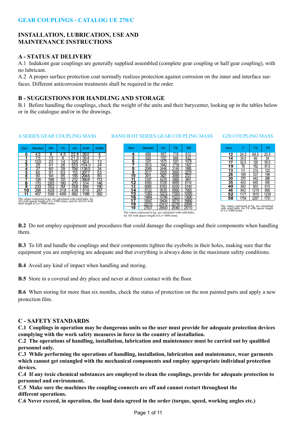#### **INSTALLATION, LUBRICATION, USE AND MAINTENANCE INSTRUCTIONS**

#### **A - STATUS AT DELIVERY**

A.1 Indukont gear couplings are generally supplied assembled (complete gear coupling or half gear coupling), with no lubricant.

A.2 A proper surface protection coat normally realizes protection against corrosion on the inner and interface surfaces. Different anticorrosion treatments shall be required in the order.

#### **B - SUGGESTIONS FOR HANDLING AND STORAGE**

B.1 Before handling the couplings, check the weight of the units and their barycenter, looking up in the tables below or in the catalogue and/or in the drawings.

#### A SERIES GEAR COUPLING MASS BAND B.HT SERIES GEAR COUPLING MASS G20 COUPLING MASS

| <b>Size</b> | Standard | <b>MN</b> | FA              | AO              | <b>AOM</b> | <b>GOMA</b>     |
|-------------|----------|-----------|-----------------|-----------------|------------|-----------------|
| 0           | 4.3      | 8         | 4.5             | 22.<br>8        | 26.0       | 4               |
| 1           | 75       | 13        | 8               | 21.5            | 39.4       |                 |
| 2           | 13.5     | 23        | 14              | 325             | 62.4       | 13              |
| 3           | 25       | 41        | $\frac{26}{39}$ | 53.5            | 104.0      | $\overline{24}$ |
| 4           | 37       | 60        |                 | 796             | 138.5      |                 |
| 5           | 60       | 91        | 63              | 113             | 20         | $\frac{34}{53}$ |
| 6           | 90       | 141       | 95              | 15 <sub>5</sub> | 294.6      |                 |
| 7           | 124      | 199       | 131             | 212             | 390.6      | 113             |
| 8           | 170      | 285       | 180             | 270             | 514        | 146             |
| 9           | 233      | 352       | ΙM              | 356             | 654        | 190             |
| 10          | 298      | 428       | 318             | 438             | 819        | 247             |
| 11          | 457      | 596       | 488             | 662             | 1188       | 392             |

The values expressed in kg. are calculated with solid hubs, for AO with spacer length of Ls=1000 (mm), and for AO-FA with shaft length of Ls=1000 (mm).

#### Size Standard AO FB MB **4** 688 907 718 612 **5** 926 1157 946 832 **6** 1231 1575 1231 1078 **7** 1613 1942 1718 1437 **8** 2089 2446 2140 1885 **9** 2517 2935 2690 2276 **10** 3011 3421 3090 2721 **11** 3187 4278 3880 3451 **12** 4550 5105 4685 4114 **13** 6080 6763 6330 5140 **14** 8723 9535 8990 7900 **15** 11262 12212 11503 10300 **16** 14864 15788 15223 13690 **17** 18347 19434 18710 16890 **18** 22210 23412 22750 20545 **19** 27637 28830 28360 25710



The values expressed in kg. are calculated with solid hubs, for FS with spacer length of Ls=1000 (mm).

The values expressed in kg. are calculated with solid hubs, for AO with spacer length of Ls=1000 (mm).

**B.2** Do not employ equipment and procedures that could damage the couplings and their components when handling them.

**B.3** To lift and handle the couplings and their components tighten the eyebolts in their holes, making sure that the equipment you are employing are adequate and that everything is always done in the maximum safety conditions.

**B.4** Avoid any kind of impact when handling and storing.

**B.5** Store in a covered and dry place and never at direct contact with the floor.

**B.6** When storing for more than six months, check the status of protection on the non painted parts and apply a new protection film.

#### **C - SAFETY STANDARDS**

**C.1 Couplings in operation may be dangerous units so the user must provide for adequate protection devices complying with the work safety measures in force in the country of installation.**

**C.2 The operations of handling, installation, lubrication and maintenance must be carried out by qualified personnel only.**

**C.3 While performing the operations of handling, installation, lubrication and maintenance, wear garments which cannot get entangled with the mechanical components and employ appropriate individual protection devices.**

**C.4 If any toxic chemical substances are employed to clean the couplings, provide for adequate protection to personnel and environment.**

**C.5 Make sure the machines the coupling connects are off and cannot restart throughout the different operations.**

**C.6 Never exceed, in operation, the load data agreed in the order (torque, speed, working angles etc.)**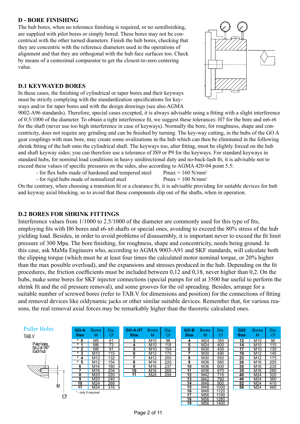#### **D - BORE FINISHING**

The hub bores, when no tolerance finishing is required, or no semifinishing, are supplied with pilot bores or simply bored. These bores may not be concentrical with the other turned diameters. Finish the hub bores, checking that they are concentric with the reference diameters used in the operations of alignment and that they are orthogonal with the hub face surfaces too. Check by means of a centesimal comparator to get the closest-to-zero centering value.

#### **D.1 KEYWAYED BORES**

In these cases, the finishing of cylindrical or taper bores and their keyways must be strictly complying with the standardization specifications for keyways and/or for taper bores and with the design drawings (see also AGMA



9002-A96 standards). Therefore, special cases excepted, it is always advisable using a fitting with a slight interference of 0.5/1000 of the diameter. To obtain a tight interference fit, we suggest these tolerances: H7 for the bore and m6-r6 for the shaft (never use too high interference in case of keyways). Normally the bore, for roughness, shape and concentricity, does not require any grinding and can be finished by turning. The key-way cutting, in the hubs of the GO A gear couplings with max bore, may create some ovalizations in the hub which can then be eliminated in the following shrink fitting of the hub onto the cylindrical shaft. The keyways too, alter fitting, must be slightly forced on the hub and shaft keyway sides; you can therefore use a tolerance of JS9 or P9 for the keyways. For standard keyways in standard hubs, for nominal load conditions in heavy unidirectional duty and no-back-lash fit, it is advisable not to exceed these values of specific pressures on the sides, also according to AGMA 420-04 point 5.5:

- for flex hubs made of hardened and tempered steel Pmax =  $160$  N/mm<sup>2</sup>

- for rigid hubs made of nonnalized steel Pmax =  $100$  N/mm<sup>2</sup>

On the contrary, when choosing a transition fit or a clearance fit, it is advisable providing for suitable devices for hub and keyway axial blocking, so to avoid that these components slip out of the shafts, when in operation.

#### **D.2 BORES FOR SHRINK FITTINGS**

Interference values from 1/1000 to 2.5/1000 of the diameter are commonly used for this type of fits, employing fits with H6 bores and s6-x6 shafts or special ones, avoiding to exceed the 80% stress of the hub yielding load. Besides, in order to avoid problems of disassembly, it is important never to exceed the fit limit pressure of 300 Mpa. The bore finishing, for roughness, shape and concentricity, needs being ground. In this case, ask MaMa Engineers who, according to AGMA 9003-A91 and SKF standards, will calculate both the slipping torque (which must be at least four times the calculated motor nominal torque, or 20% higher than the max possible overload), and the expansions and stresses produced in the hub. Depending on the fit procedures, the friction coefficients must be included between 0,12 and 0,18, never higher than 0,2. On the hubs, make some bores for SKF injector connections (special pumps for oil at 3500 bar useful to perform the shrink fit and the oil pressure removal), and some grooves for the oil spreading. Besides, arrange for a suitable number of screwed bores (refer to TAB.V for dimensions and position) for the connections of fitting and removal devices like oildynamic jacks or other similar suitable devices. Remember that, for various reasons, the real removal axial forces may be remarkably higher than the theoretic calculated ones.

#### **Puller Holes**



| GO-A                                    | <b>Bores</b> | Dia. |  |  |
|-----------------------------------------|--------------|------|--|--|
| <b>Size</b>                             | м            | Сf   |  |  |
| $\overline{\ast}$<br>0                  | M5           | 61   |  |  |
| ∗<br>1                                  | M6           | 73   |  |  |
| $\star$<br>2                            | M8           | 91   |  |  |
| $\overline{\ast}$<br>$\bar{\mathbf{3}}$ | M10          | 115  |  |  |
| $\overline{\ast}$<br>4                  | M12          | 132  |  |  |
| $\star$<br>5                            | M12          | 154  |  |  |
| 6                                       | M16          | 180  |  |  |
|                                         | M16          | 204  |  |  |
| 8                                       | M20          | 220  |  |  |
| 9                                       | M20          | 240  |  |  |
| 10                                      | M24          | 268  |  |  |
| 11                                      | M24          | 316  |  |  |
| * - only if required                    |              |      |  |  |

| <b>GO-A.HT</b> Bores<br><b>Size</b> | м                 | Dia.<br>Сf |
|-------------------------------------|-------------------|------------|
| 3                                   | M <sub>10</sub>   | 98         |
| 4                                   | M10               | 118        |
| 5                                   | M <sub>10</sub>   | 154        |
| 6                                   | M12               | 170        |
|                                     | $\overline{M}$ 12 | 200        |
| 8                                   | M16               | 220        |
| 9                                   | M16               | 237        |
| ۱0                                  | M <sub>16</sub>   | 266        |
|                                     | M24               |            |
|                                     |                   |            |

| GO-B                       | <b>Bores</b> | Dia. |
|----------------------------|--------------|------|
| <b>Size</b>                | м            | Сf   |
| 4                          | M24          | 350  |
| 5                          | M24          | 400  |
| $rac{6}{2}$<br>$rac{7}{9}$ | M30          | 430  |
|                            | M30          | 490  |
|                            | M30          | 550  |
|                            | M36          | 580  |
| 10                         | M36          | 600  |
| $\overline{11}$            | M36          | 670  |
| 12                         | M42          | 710  |
| $\overline{13}$            | M42          | 790  |
| 14                         | M48          | 900  |
| $\overline{15}$            | M48          | 1000 |
| 16                         | M48          | 1120 |
| $\overline{17}$            | M56          | 1190 |
| 18                         | M56          | 1280 |
| 19                         | M56          | 400  |

| G20<br><b>Size</b> | <b>Bores</b><br>м | Dia.<br>Сf |
|--------------------|-------------------|------------|
| 12                 | M10               | 90         |
| 14                 | M10               | 110        |
| 17                 | M <sub>10</sub>   | 130        |
| 19                 | M12               | 145        |
| 23                 | M12               | 175        |
| 26                 | M16               | 205        |
| 30                 | M16               | 235        |
| 35                 | M16               | 280        |
| 40                 | M24               | 320        |
| 46                 | M24               | 360        |
| 52                 | $M2\overline{4}$  | 410        |
| 58                 | M24               | 460        |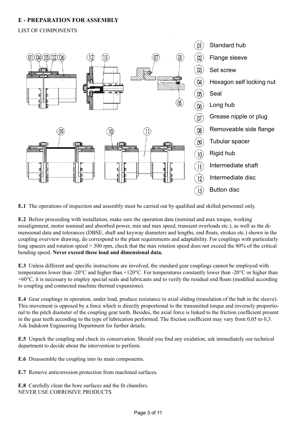#### **E - PREPARATION FOR ASSEMBLY**

#### LIST OF COMPONENTS



**E.1** The operations of inspection and assembly must be carried out by qualified and skilled personnel only.

**E.2** Before proceeding with installation, make sure the operation data (nominal and max torque, working misalignment, motor nominal and absorbed power, min and max speed, transient overloads etc.), as well as the dimensional data and tolerances (DBSE, shaft and keyway diameters and lengths, end floats, strokes etc.) shown in the coupling overview drawing, do correspond to the plant requirements and adaptability. For couplings with particularly long spacers and rotation speed > 300 rpm, check that the max rotation speed does not exceed the 80% of the critical bending speed. **Never exceed these load and dimensional data.**

**E.3** Unless different and specific instructions are involved, the standard gear couplings cannot be employed with temperatures lower than -20°C and higher than +120°C. For temperatures constantly lower than -20°C or higher than  $+60^{\circ}$ C, it is necessary to employ special seals and lubricants and to verify the residual end floats (modified according to coupling and connected machine thermal expansions).

**E.4** Gear couplings in operation, under load, produce resistance to axial sliding (translation of the hub in the sleeve). This movement is opposed by a force which is directly proportional to the transmitted torque and inversely proportional to the pitch diameter of the coupling gear teeth. Besides, the axial force is linked to the friction coefficient present in the gear teeth according to the type of lubrication performed. The friction coefficient may vary from 0,05 to 0,3. Ask Indukont Engineering Department for further details.

**E.5** Unpack the coupling and check its conservation. Should you find any oxidation, ask immediately our technical department to decide about the intervention to perform.

**E.6** Disassemble the coupling into its main components.

**E.7** Remove anticorrosion protection from machined surfaces.

**E.8** Carefully clean the bore surfaces and the fit chamfers. NEVER USE CORROSIVE PRODUCTS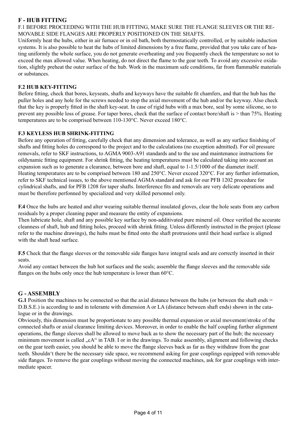#### **F - HUB FITTING**

F.1 BEFORE PROCEEDING WITH THE HUB FITTING, MAKE SURE THE FLANGE SLEEVES OR THE RE-MOVABLE SIDE FLANGES ARE PROPERLY POSITIONED ON THE SHAFTS.

Uniformly heat the hubs, either in air furnace or in oil bath, both thermostatically controlled, or by suitable induction systems. It is also possible to heat the hubs of limited dimensions by a free flame, provided that you take care of heating uniformly the whole surface, you do not generate overheating and you frequently check the temperature so not to exceed the max allowed value. When heating, do not direct the flame to the gear teeth. To avoid any excessive oxidation, slightly preheat the outer surface of the hub. Work in the maximum safe conditions, far from flammable materials or substances.

#### **F.2 HUB KEY-FITTING**

Before fitting, check that bores, keyseats, shafts and keyways have the suitable fit chamfers, and that the hub has the puller holes and any hole for the screws needed to stop the axial movement of the hub and/or the keyway. Also check that the key is properly fitted in the shaft key-seat. In case of rigid hubs with a max bore, seal by some silicone, so to prevent any possible loss of grease. For taper bores, check that the surface of contact bore/shaft is > than 75%. Heating temperatures are to be comprised between 110-130°C. Never exceed 180°C.

#### **F.3 KEYLESS HUB SHRINK-FITTING**

Before any operation of fitting, carefully check that any dimension and tolerance, as well as any surface finishing of shafts and fitting holes do correspond to the project and to the calculations (no exception admitted). For oil pressure removals, refer to SKF instructions, to AGMA 9003-A91 standards and to the use and maintenance instructions for oildynamic fitting equipment. For shrink fitting, the heating temperatures must be calculated taking into account an expansion such as to generate a clearance, between bore and shaft, equal to 1-1.5/1000 of the diameter itself. Heating temperatures are to be comprised between 180 and 250°C. Never exceed 320°C. For any further information, refer to SKF technical issues, to the above mentioned AGMA standard and ask for our PFB 1202 procedure for cylindrical shafts, and for PFB 1208 for taper shafts. Interference fits and removals are very delicate operations and must be therefore perfonned by specialized and very skilled personnel only.

**F.4** Once the hubs are heated and alter wearing suitable thermal insulated gloves, clear the hole seats from any carbon residuals by a proper cleaning paper and measure the entity of expansions.

Then lubricate hole, shaft and any possible key surface by non-additivated pure mineral oil. Once verified the accurate cleanness of shaft, hub and fitting holes, proceed with shrink fitting. Unless differently instructed in the project (please refer to the machine drawings), the hubs must be fitted onto the shaft protrusions until their head surface is aligned with the shaft head surface.

**F.5** Check that the flange sleeves or the removable side flanges have integral seals and are correctly inserted in their seats.

Avoid any contact between the hub hot surfaces and the seals; assemble the flange sleeves and the removable side flanges on the hubs only once the hub temperature is lower than 60°C.

#### **G - ASSEMBLY**

**G.1** Position the machines to be connected so that the axial distance between the hubs (or between the shaft ends = D.B.S.E.) is according to and in tolerante with dimension A or LA (distance between shaft ends) shown in the catalogue or in the drawings.

Obviously, this dimension must be proportionate to any possible thermal expansion or axial movement/stroke of the connected shafts or axial clearance limiting devices. Moreover, in order to enable the half coupling further alignment operations, the flange sleeves shall be allowed to move back as to show the necessary part of the hub; the necessary minimum movement is called ...cA" in TAB. I or in the drawings. To make assembly, alignment and following checks on the gear teeth easier, you should be able to move the flange sleeves back as far as they withdraw from the gear teeth. Shouldn't there be the necessary side space, we recommend asking for gear couplings equipped with removable side flanges. To remove the gear couplings without moving the connected machines, ask for gear couplings with intermediate spacer.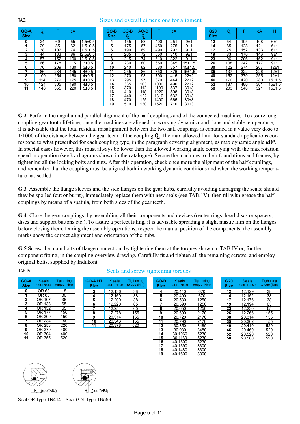#### TAB.I Sizes and overall dimensions for aligment

| GO-A<br><b>Size</b> | Ģ.  | F   | сA  | н             |
|---------------------|-----|-----|-----|---------------|
| 0                   | 24  | 69  | 55  | $1.5 \pm 0.5$ |
| 1                   | 29  | 85  | 62  | $1.5 + 0.5$   |
| 2                   | 38  | 107 | 74  | $1.5 + 0.5$   |
| 3                   | 44  | 133 | 86  | $2.5 \pm 0.5$ |
| 4                   | 57  | 152 | 100 | 2.5±0.5       |
| 5                   | 66  | 178 | 115 | $3 + 0.5$     |
| 6                   | 76  | 209 | 130 | $3 + 0.5$     |
| 7                   | 86  | 234 | 145 | 4±0.5         |
| 8                   | 100 | 254 | 160 | $4 + 0.5$     |
| 9                   | 114 | 279 | 175 | $4 + 0.5$     |
| 10                  | 124 | 305 | 190 | 4±0.5         |
| 11                  | 146 | 355 | 220 | $5 + 0.5$     |

| GO-B<br><b>Size</b> | GO-B<br>φ | $AO-B$<br>Ģ. | F    | сA  | н          |
|---------------------|-----------|--------------|------|-----|------------|
| 4                   | 155       | 63           | 400  | 251 | 9±1        |
| 5                   | 175       | 67           | 450  | 275 | 9±1        |
| 6                   | 190       | 69           | 490  | 292 | 9±1        |
| 7                   | 205       | 72           | 550  | 310 | 9±1        |
| 8                   | 215       | 74           | 610  | 322 | 9±1        |
| 9                   | 230       | 80           | 650  | 345 | 15±1.5     |
| $\overline{10}$     | 240       | 82           | 680  | 357 | 15±1.5     |
| 11                  | 255       | 86           | 750  | 376 | $15 + 1.5$ |
| 12                  | 270       | 93           | 790  | 415 | 22+2       |
| 13                  | 295       | 97           | 870  | 444 | 22±2       |
| 14                  | 335       | 103          | 1000 | 490 | 22+2       |
| 15                  | 370       | 112          | 1100 | 537 | 30±3       |
| 16                  | 410       | 118          | 1220 | 598 | 30±3       |
| 17                  | 440       | 122          | 1310 | 632 | 30±3       |
| 18                  | 470       | 125          | 1400 | 665 | 30±3       |
| 19                  | 510       | 130          | 1520 | 710 | 30±3       |

| G20<br>Size     | Ģ.  | F   | сA  | н      |
|-----------------|-----|-----|-----|--------|
| 12              | 54  | 105 | 108 | 6±1    |
| 14              | 65  | 128 | 121 | 6±1    |
| 17              | 75  | 152 | 133 | 6±1    |
| $\overline{19}$ | 83  | 170 | 146 | 9±1    |
| 23              | 96  | 206 | 162 | 9±1    |
| 26              | 108 | 242 | 177 | $9+1$  |
| 30              | 122 | 274 | 207 | 12±1   |
| 35              | 137 | 322 | 226 | $12+1$ |
| 40              | 152 | 370 | 255 | $12+1$ |
| 46              | 170 | 420 | 280 | 15±1.5 |
| 52              | 187 | 480 | 301 | 15±1.5 |
| 58              | 203 | 540 | 321 | 15±1.5 |

**G.2** Perform the angular and parallel alignment of the half couplings and of the connected machines. To assure long coupling gear tooth lifetime, once the machines are aligned, in working dynamic conditions and stable temperature, it is advisable that the total residual misalignment between the two half couplings is contained in a value very dose to  $1/1000$  of the distance between the gear teeth of the coupling  $\mathbf{G}$ . The max allowed limit for standard applications correspond to what prescribed for each coupling type, in the paragraph covering alignment, as max dynamic angle **αD°**. In special cases however, this must always be lower than the allowed working angle complying with the max rotation speed in operation (see kv diagrams shown in the catalogue). Secure the machines to their foundations and frames, by tightening all the locking bolts and nuts. After this operation, check once more the alignment of the half couplings, and remember that the coupling must be aligned both in working dynamic conditions and when the working temperature has settled.

**G.3** Assemble the flange sleeves and the side flanges on the gear hubs, carefully avoiding damaging the seals; should they be spoiled (cut or burnt), immediately replace them with new seals (see TAB.1V), then fill with grease the half couplings by means of a spatula, from both sides of the gear teeth.

**G.4** Close the gear couplings, by assembling all their components and devices (center rings, head discs or spacers, discs and support buttons etc.). To assure a perfect fitting, it is advisable spreading a slight mastic film on the flanges before closing them. During the assembly operations, respect the mutual position of the components; the assembly marks show the correct alignment and orientation of the hubs.

**G.5** Screw the main bolts of tlange connection, by tightening them at the torques shown in TAB.IV or, for the component fitting, in the coupling overview drawing. Carefully fit and tighten all the remaining screws, and employ original bolts, supplied by Indukont.

| GO-A<br>Size | Seals<br><b>OR.TN414</b> | Tigthening<br>torque (Nm) |
|--------------|--------------------------|---------------------------|
| 0            | OR 68                    | 18                        |
|              | OR 85                    | 36                        |
| 2            | OR 107                   | 36                        |
| 3            | OR 133                   | 65                        |
| 4            | OR 152                   | 65                        |
| 5            | OR 177                   | 150                       |
| 6            | OR 209                   | 150                       |
|              | OR 234                   | 150                       |
| 8            | OR 253                   | 220                       |
| 9            | OR 279                   | 400                       |
|              | OR 304                   | 400                       |
|              | OR 355                   | 520                       |

#### Seals and screw tightening torques

| 3<br>5 | 12.136<br>12.160<br>12.200 | 38<br>$\overline{38}$<br>38 |
|--------|----------------------------|-----------------------------|
|        |                            |                             |
|        |                            |                             |
|        |                            |                             |
| 6      | 12.220                     | 65                          |
|        | 12.254                     | 65                          |
| 8      | 12.278                     | 155                         |
| g      | 20.314                     | 155                         |
| 10     | 20.346                     | 155                         |
| 11     | 20.378                     | 520                         |

| GO-B        | Seals            | Tigthening  |
|-------------|------------------|-------------|
| <b>Size</b> | <b>GDL.TN559</b> | torque (Nm) |
| 4           | 20.440           | 670         |
| 5           | 20.490           | 670         |
| 6           | 20.530           | 1250        |
| 7           | 20.590           | 1250        |
| 8           | 20.650           | 1250        |
| 9           | 20.690           | 2170        |
| 10          | 20.720           | 2170        |
| 11          | 20.790           | 2170        |
| 12          | 30.850           | 3480        |
| 13          | 30.930           | 3480        |
| 14          | 30.1060          | 5230        |
| 15          | 30.1160          | 5230        |
| 16          | 40.1300          | 5230        |
| 17          | 40.1390          | 8300        |
| 18          | 40.1480          | 8300        |
| 19          | 40.1600          | 8300        |

| G20<br>Size | Seals<br><b>GDL.TN559</b> | Tigthening<br>torque (Nm) |
|-------------|---------------------------|---------------------------|
| 12          | 12.129                    | 38                        |
| 14          | 12.152                    | 38                        |
| 17          | 12.176                    | 38                        |
| 19          | 12.194                    | 65                        |
| 23          | 12.230                    | 65                        |
| 26          | 12.266                    | 155                       |
| 30          | 20.314                    | 155                       |
| 35          | 20.362                    | 155                       |
| 40          | 20.410                    | 520                       |
| 46          | 20.460                    | 520                       |
| 52          | 20.520                    | 520                       |
| 58          | 20.580                    | 520                       |





Seal OR Type TN414 Seal GDL Type TN559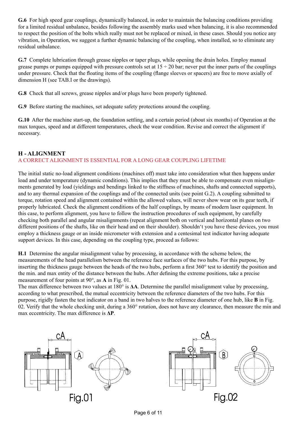**G.6** For high speed gear couplings, dynamically balanced, in order to maintain the balancing conditions providing for a limited residual unbalance, besides following the assembly marks used when balancing, it is also recommended to respect the position of the bolts which really must not be replaced or mixed, in these cases. Should you notice any vibration, in Operation, we suggest a further dynamic balancing of the coupling, when installed, so to eliminate any residual unbalance.

**G.7** Complete lubrication through grease nipples or taper plugs, while opening the drain holes. Employ manual grease pumps or pumps equipped with pressure controls set at  $15 \div 20$  bar; never put the inner parts of the couplings under pressure. Check that the floating items of the coupling (flange sleeves or spacers) are free to move axially of dimension H (see TAB.I or the drawings).

**G.8** Check that all screws, grease nipples and/or plugs have been properly tightened.

**G.9** Before starting the machines, set adequate safety protections around the coupling.

**G.10** After the machine start-up, the foundation settling, and a certain period (about six months) of Operation at the max torques, speed and at different temperatures, check the wear condition. Revise and correct the alignment if necessary.

#### **H - ALIGNMENT**

#### A CORRECT ALIGNMENT IS ESSENTIAL FOR A LONG GEAR COUPLING LIFETIME

The initial static no-load alignment conditions (machines off) must take into consideration what then happens under load and under temperature (dynamic conditions). This implies that they must be able to compensate even misalignments generated by load (yieldings and bendings linked to the stiffness of machines, shafts and connected supports), and to any thermal expansion of the couplings and of the connected units (see point G.2). A coupling submitted to torque, rotation speed and alignment contained within the allowed values, will never show wear on its gear teeth, if properly lubricated. Check the alignment conditions of the half couplings, by means of modern laser equipment. In this case, to perform alignment, you have to follow the instruction procedures of such equipment, by carefully checking both parallel and angular misalignments (repeat alignment both on vertical and horizontal planes on two different positions of the shafts, like on their head and on their shoulder). Shouldn't you have these devices, you must employ a thickness gauge or an inside micrometer with extension and a centesimal test indicator having adequate support devices. In this case, depending on the coupling type, proceed as follows:

**H.1** Determine the angular misalignment value by processing, in accordance with the scheme below, the measurements of the head parallelism between the reference face surfaces of the two hubs. For this purpose, by inserting the thickness gauge between the heads of the two hubs, perform a first 360° test to identify the position and the min. and max entity of the distance between the hubs. After defining the extreme positions, take a precise measurement of four points at 90°, as **A** in Fig. 01.

The max difference between two values at 180° is **ΔA**. Determine the parallel misalignment value by processing, according to what prescribed, the mutual eccentricity between the reference diameters of the two hubs. For this purpose, rigidly fasten the test indicator on a band in two halves to the reference diameter of one hub, like **B** in Fig. 02. Verify that the whole checking unit, during a  $360^{\circ}$  rotation, does not have any clearance, then measure the min and max eccentricity. The max difference is **ΔP**.

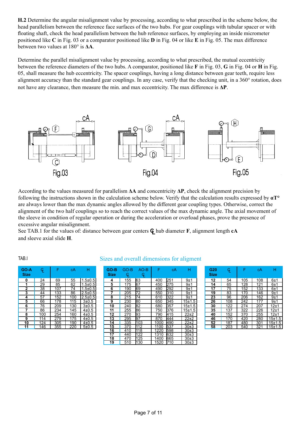**H.2** Determine the angular misalignment value by processing, according to what prescribed in the scheme below, the head parallelism between the reference face surfaces of the two hubs. For gear couplings with tubular spacer or with floating shaft, check the head parallelism between the hub reference surfaces, by employing an inside micrometer positioned like **C** in Fig. 03 or a comparator positioned like **D** in Fig. 04 or like **E** in Fig. 05. The max difference between two values at 180° is **ΔA**.

Determine the parallel misalignment value by processing, according to what prescribed, the mutual eccentricity between the reference diameters of the two hubs. A comparator, positioned like **F** in Fig. 03, **G** in Fig. 04 or **H** in Fig. 05, shall measure the hub eccentricity. The spacer couplings, having a long distance between gear teeth, require less alignment accuracy than the standard gear couplings. In any case, verify that the checking unit, in a 360° rotation, does not have any clearance, then measure the min. and max eccentricity. The max difference is **ΔP**.



According to the values measured for parallelism **ΔA** and concentricity **ΔP**, check the alignment precision by following the instructions shown in the calculation scheme below. Verify that the calculation results expressed by **αT°** are always lower than the max dynamic angles allowed by the different gear coupling types. Otherwise, correct the alignment of the two half couplings so to reach the correct values of the max dynamic angle. The axial movement of the sleeve in condition of regular operation or during the acceleration or overload phases, prove the presence of excessive angular misalignment.

See TAB.1 for the values of: distance between gear centers  $Q$  hub diameter **F**, alignment length **cA** and sleeve axial slide **H**.

| GO-A<br><b>Size</b> | Ģ.  | F   | cА  | н             |
|---------------------|-----|-----|-----|---------------|
| 0                   | 24  | 69  | 55  | $1.5 \pm 0.5$ |
| 1                   | 29  | 85  | 62  | $1.5 \pm 0.5$ |
| 2                   | 38  | 107 | 74  | $1.5 \pm 0.5$ |
| 3                   | 44  | 133 | 86  | $2.5 \pm 0.5$ |
| 4                   | 57  | 152 | 100 | $2.5 \pm 0.5$ |
| 5                   | 66  | 178 | 115 | $3 + 0.5$     |
| 6                   | 76  | 209 | 130 | $3 + 0.5$     |
| 7                   | 86  | 234 | 145 | $4 + 0.5$     |
| 8                   | 100 | 254 | 160 | 4±0.5         |
| 9                   | 114 | 279 | 175 | 4±0.5         |
| 10                  | 124 | 305 | 190 | 4±0.5         |
|                     | 146 | 355 | 220 | 5±0.5         |

#### TAB.I Sizes and overall dimensions for aligment

| GO-B<br><b>Size</b> | GO-B<br>Ģ | $AO-B$<br>G. | F    | сA   | н          |
|---------------------|-----------|--------------|------|------|------------|
| 4                   | 155       | 63           | 400  | 251  | 9±1        |
| 5                   | 175       | 67           | 450  | 275  | 9±1        |
| 6                   | 190       | 69           | 490  | 292  | 9±1        |
| 7                   | 205       | 72           | 550  | 310  | 9±1        |
| 8                   | 215       | 74           | 610  | 322  | 9±1        |
| 9                   | 230       | 80           | 650  | 345  | $15 + 1.5$ |
| 10                  | 240       | 82           | 680  | 357  | $15 + 1.5$ |
| $\overline{11}$     | 255       | 86           | 750  | 376  | $15 + 1.5$ |
| 12                  | 270       | 93           | 790  | 415  | $22+2$     |
| $\overline{13}$     | 295       | 97           | 870  | 444  | 22±2       |
| 14                  | 335       | 1103         | 1000 | 490  | $22+2$     |
| $\overline{15}$     | 370       | 112          | 1100 | 537  | 30±3       |
| 16                  | 410       | 118          | 1220 | 598  | 30±3       |
| 17                  | 440       | 122          | 1310 | 632  | 30±3       |
| 18                  | 470       | 125          | 1400 | 665  | 30±3       |
| 19                  | 510       | l130         | 1520 | 1710 | 30±3       |

| G <sub>20</sub><br><b>Size</b> | G.  | F   | cА  | н          |
|--------------------------------|-----|-----|-----|------------|
| 12                             | 54  | 105 | 108 | 6±1        |
| 14                             | 65  | 128 | 121 | 6±1        |
| 17                             | 75  | 152 | 133 | 6±1        |
| 19                             | 83  | 170 | 146 | 9±1        |
| 23                             | 96  | 206 | 162 | 9±1        |
| 26                             | 108 | 242 | 177 | 9±1        |
| 30                             | 122 | 274 | 207 | $12+1$     |
| 35                             | 137 | 322 | 226 | 12±1       |
| 40                             | 152 | 370 | 255 | 12±1       |
| 46                             | 170 | 420 | 280 | $15 + 1.5$ |
| 52                             | 187 | 480 | 301 | 15±1.5     |
| 58                             | 203 | 540 | 321 | 15±1.5     |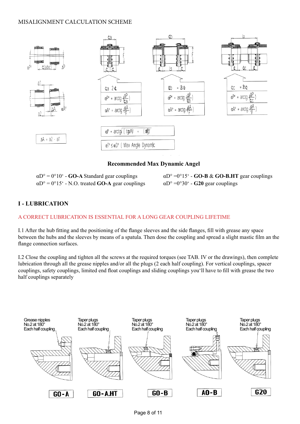#### MISALIGNMENT CALCULATION SCHEME



#### **Recommended Max Dynamic Angel**

| $\alpha D^{\circ} = 0^{\circ}10^{\circ}$ - GO-A Standard gear couplings |
|-------------------------------------------------------------------------|
| $\alpha$ D° = 0°15′ - N.O. treated <b>GO-A</b> gear couplings           |

 $\alpha$ D° =0°15′ - **GO-B & GO-B.HT** gear couplings  $\alpha$ D° =0°30′ - **G20** gear couplings

### **I - LUBRICATION**

#### A CORRECT LUBRICATION IS ESSENTIAL FOR A LONG GEAR COUPLING LIFETIME

I.1 After the hub fitting and the positioning of the flange sleeves and the side flanges, fill with grease any space between the hubs and the sleeves by means of a spatula. Then dose the coupling and spread a slight mastic film an the flange connection surfaces.

I.2 Close the coupling and tighten all the screws at the required torques (see TAB. IV or the drawings), then complete lubrication through all the grease nipples and/or all the plugs (2 each half coupling). For vertical couplings, spacer couplings, safety couplings, limited end float couplings and sliding couplings you'll have to fill with grease the two half couplings separately

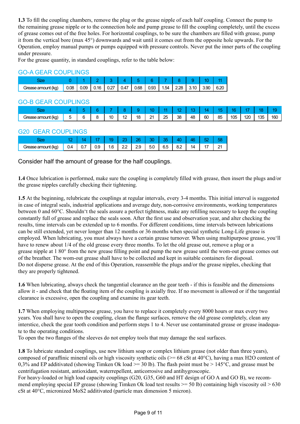**1.3** To fill the coupling chambers, remove the plug or the grease nipple of each half coupling. Connect the pump to the remaining grease nipple or to the connection hole and pump grease to fill the coupling completely, until the excess of grease comes out of the free holes. For horizontal couplings, to be sure the chambers are filled with grease, pump it from the vertical bore (max 45°) downwards and wait until it comes out from the opposite hole upwards. For the Operation, employ manual pumps or pumps equipped with pressure controls. Never put the inner parts of the coupling under pressure.

For the grease quantity, in standard couplings, refer to the table below:

#### GO-A GEAR COUPLINGS

| frease amount (kg) | 0.08 | 0.09 | $\vert$ 0.16 $\vert$ |  | 0.27   0.47   0.68   0.93   1.54   2.28 |  |  | 3.90 | 6.20 |
|--------------------|------|------|----------------------|--|-----------------------------------------|--|--|------|------|

### GO-B GEAR COUPLINGS

|                                  | _____  | _____  |    |                               |    |         |         |    |    |    |    |                         |     |     |     |
|----------------------------------|--------|--------|----|-------------------------------|----|---------|---------|----|----|----|----|-------------------------|-----|-----|-----|
|                                  |        |        |    |                               |    |         |         |    |    |    |    |                         |     |     | חו  |
| -<br>rease amount (kg)<br>.ireas | —<br>u | ∽<br>ີ | 10 | $\overline{\phantom{a}}$<br>c | 18 | O4<br>- | つら<br>້ | 38 | 48 | 60 | 85 | $\sqrt{2}$<br>105<br>∪∪ | 120 | 135 | 160 |

#### G20 GEAR COUPLINGS

|      |    |             | 19 | $\sqrt{23}$ | $\sqrt{26}$ | 30                                             | $-35-$ | $\sqrt{40}$ | 46 |    |  |
|------|----|-------------|----|-------------|-------------|------------------------------------------------|--------|-------------|----|----|--|
| ∖NY, | 04 | $\vert$ 0.7 |    |             |             | $0.9$   1.6   2.2   2.9   5.0   6.5   8.2   14 |        |             |    | 17 |  |

Consider half the amount of grease for the half couplings.

**1.4** Once lubrication is performed, make sure the coupling is completely filled with grease, then insert the plugs and/or the grease nipples carefully checking their tightening.

**1.5** At the beginning, relubricate the couplings at regular intervals, every 3-4 months. This initial interval is suggested in case of integral seals, industrial applications and average duty, non-corrosive environments, working temperatures between 0 and 60°C. Shouldn't the seals assure a perfect tightness, make any refilling necessary to keep the coupling constantly full of grease and replace the seals soon. After the first use and observation year, and alter checking the results, time intervals can be extended up to 6 months. For different conditions, time intervals between lubrications can be still extended, yet never longer than 12 months or 36 months when special synthetic Long-Life grease is employed. When lubricating, you must always have a certain grease turnover. When using multipurpose grease, you'll have to renew about 1/4 of the old grease every three months. To let the old grease out, remove a plug or a grease nipple at 1 80° from the new grease filling point and pump the new grease until the wom-out grease comes out of the breather. The wom-out grease shall have to be collected and kept in suitable containers for disposal. Do not disperse grease. At the end of this Operation, reassemble the plugs and/or the grease nipples, checking that they are properly tightened.

**1.6** When lubricating, always check the tangential clearance an the gear teeth - if this is feasible and the dimensions allow it - and check that the floating item of the coupling is axially free. If no movement is allowed or if the tangential clearance is excessive, open the coupling and examine its gear teeth.

**1.7** When employing multipurpose grease, you have to replace it completely every 8000 hours or max every two years. You shall have to open the coupling, clean the flange surfaces, remove the old grease completely, clean any interstice, check the gear tooth condition and perform steps 1 to 4. Never use contaminated grease or grease inadequate to the operating conditions.

To open the two flanges of the sleeves do not employ tools that may damage the seal surfaces.

**1.8** To lubricate standard couplings, use new lithium soap or complex lithium grease (not older than three years), composed of paraffinic mineral oils or high viscosity synthetic oils ( $> = 68$  cSt at 40 $^{\circ}$ C), having a max H2O content of 0,3% and EP additivated (showing Timken Ok load  $\ge$  30 lb). The flash point must be  $> 145^{\circ}$ C, and grease must be centrifugation resistant, antioxidant, waterrepellent, anticorrosive and antihygroscopic.

For heavy-loaded or high load capacity couplings (G20, G35, G60 and HT design of GO A and GO B), we recommend employing special EP grease (showing Timken Ok load test results  $\geq$  50 lb) containing high viscosity oil  $>$  630 cSt at 40°C, micronized MoS2 additivated (particle max dimension 5 micron).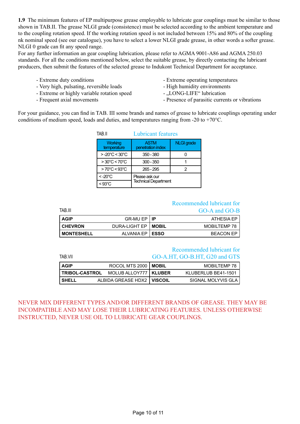**1.9** The minimum features of EP multipurpose grease employable to lubricate gear couplings must be similar to those shown in TAB.II. The grease NLGI grade (consistence) must be selected according to the ambient temperature and to the coupling rotation speed. If the working rotation speed is not included between 15% and 80% of the coupling nk nominal speed (see our catalogue), you have to select a lower NLGI grade grease, in other words a softer grease. NLGI 0 grade can fit any speed range.

For any further information an gear coupling lubrication, please refer to AGMA 9001-A86 and AGMA 250.03 standards. For all the conditions mentioned below, select the suitable grease, by directly contacting the lubricant producers, then submit the features of the selected grease to Indukont Technical Department for acceptance.

- 
- Very high, pulsating, reversible loads High humidity environments
- Extreme or highly variable rotation speed ... LONG-LIFE" lubrication
- 
- Extreme duty conditions  **Extreme operating temperatures** 
	-
	-
- Frequent axial movements Presence of parasitic currents or vibrations

For your guidance, you can find in TAB. III some brands and names of grease to lubricate couplings operating under conditions of medium speed, loads and duties, and temperatures ranging from -20 to +70°C.

| TAB.II                            | <b>Lubricant features</b>        |                   |  |  |  |  |  |  |
|-----------------------------------|----------------------------------|-------------------|--|--|--|--|--|--|
| <b>Working</b><br>temperature     | <b>ASTM</b><br>penetration index | <b>NLGI</b> grade |  |  |  |  |  |  |
| $> -20^{\circ}C < 30^{\circ}C$    | $350 - 380$                      |                   |  |  |  |  |  |  |
| $>30^{\circ}$ C < 70 $^{\circ}$ C | $300 - 350$                      |                   |  |  |  |  |  |  |
| $>70^{\circ}$ C < 93 $^{\circ}$ C | 265 - 295                        |                   |  |  |  |  |  |  |
| $< -20^{\circ}$ C                 | Please ask our                   |                   |  |  |  |  |  |  |
| $< 93^{\circ}$ C                  | <b>Technical Department</b>      |                   |  |  |  |  |  |  |

#### Recommended lubricant for

| TAB.III             |                          | GO-A and GO-B       |
|---------------------|--------------------------|---------------------|
| AGIP                | GR-MU EP I IP            | ATHESIA EP          |
| l CHEVRON           | DURA-LIGHT EP   MOBIL    | <b>MOBILTEMP 78</b> |
| <b>I MONTESHELL</b> | ALVANIA EP <b>  ESSO</b> | <b>BEACON EP</b>    |

## Recommended lubricant for

| TAB VII     |                                               | GO-A.HT, GO-B.HT, G20 and GTS |                     |  |  |  |  |
|-------------|-----------------------------------------------|-------------------------------|---------------------|--|--|--|--|
| <b>AGIP</b> | ROCOL MTS 2000   MOBIL                        |                               | <b>MOBILTEMP 78</b> |  |  |  |  |
|             | <b>TRIBOL-CASTROL MOLUB ALLOY777   KLUBER</b> |                               | KLUBERLUB BE41-1501 |  |  |  |  |
| l SHELL     | ALBIDA GREASE HDX2   VISCOIL                  |                               | SIGNAL MOLYVIS GLA  |  |  |  |  |

NEVER MIX DIFFERENT TYPES AND/OR DIFFERENT BRANDS OF GREASE. THEY MAY BE INCOMPATIBLE AND MAY LOSE THEIR LUBRICATING FEATURES. UNLESS OTHERWISE INSTRUCTED, NEVER USE OIL TO LUBRICATE GEAR COUPLINGS.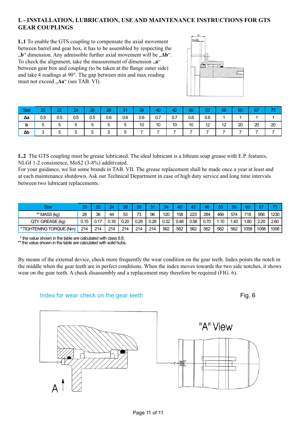#### **L - INSTALLATION, LUBRICATION, USE AND MAINTENANCE INSTRUCTIONS FOR GTS GEAR COUPLINGS**

**L.1** To enable the GTS coupling to compensate the axial movement between barrel and gear box, it has to be assembled by respecting the  $\phi$ <sup>"</sup> dimension. Any admissible further axial movement will be  $\phi$ **Δb**". To check the alignment, take the measurement of dimension  $\mathbf{a}^{\alpha}$ between gear box and coupling (to be taken at the flange outer side) and take 4 readings at 90°. The gap between min and max reading must not exceed "**Δa**" (see TAB. VI).



| <b>Size</b> | 20     | つつ  | 24     | 26  | 28  | 31<br>ູ ເ | 34  | 40  | 42  | 46  | 53  | 56 | 60 | 67 | 70<br>w |
|-------------|--------|-----|--------|-----|-----|-----------|-----|-----|-----|-----|-----|----|----|----|---------|
| Δa          | 0.5    | 0.5 | 0.5    | 0.5 | 0.6 | 0.6       | 0.6 | 0.7 | 0.7 | 0.8 | 0.8 |    |    |    |         |
| b           |        | э   | b      |     | э   | 5         | 10  | 10  | 10  | 10  | 12  | 12 | 20 | 20 | 20      |
| $\Delta b$  | $\sim$ |     | ∽<br>ີ |     |     | b         |     |     |     |     |     |    |    |    |         |

**L.2** The GTS coupling must be grease lubricated. The ideal lubricant is a lithium soap grease with E.P. features, NLGI 1-2 consistence, MoS2 (3-8%) additivated.

For your guidance, we list some brands in TAB. VII. The grease replacement shall be made once a year at least and at each maintenance shutdown. Ask our Technical Department in case of high duty service and long time intervals between two lubricant replacements.

| <b>Size</b>             | 20   | 00   | 24   | 26   | 28   | 24   | $\mathbf{A}$ | 40   | 42   | 16   | F2<br>نەك | ᄄ   | മറ   |      | $\rightarrow$ |
|-------------------------|------|------|------|------|------|------|--------------|------|------|------|-----------|-----|------|------|---------------|
| ** MASS (kg)            | 28   | 36   | 44   | 53   | 73   | 96   | 120          | 158  | 223  | 284  | 466       | 574 | 718  | 956  | 1230          |
| QTY. GREASE (kg)        | 0.15 | n 17 | 0.18 | 0.20 | 0.26 | 0.28 | 0.32         | 0.48 | 0.58 | 0.70 | .10       | .40 | l.80 | 2.20 | 2.60          |
| *TIGHTENING TORQUE (Nm) | 214  | 214  | 214  | 214  | 214  | 214  | 562          | 562  | 562  | 562  | 562       | 562 | 1058 | 1058 | 1058          |

\* the value shown in the table are calculated with class 8.8.

\*\* the value shown in the table are calculated with solid hubs.

By means of the extemal device, check more frequently the wear condition on the gear teeth. Index points the notch in the middle when the gear teeth are in perfect conditions. When the index moves towards the two side notches, it shows wear on the gear teeth. A check disassembly and a replacement may therefore be required (FIG. 6).





#### Index for wear check on the gear teeth Fig. 6